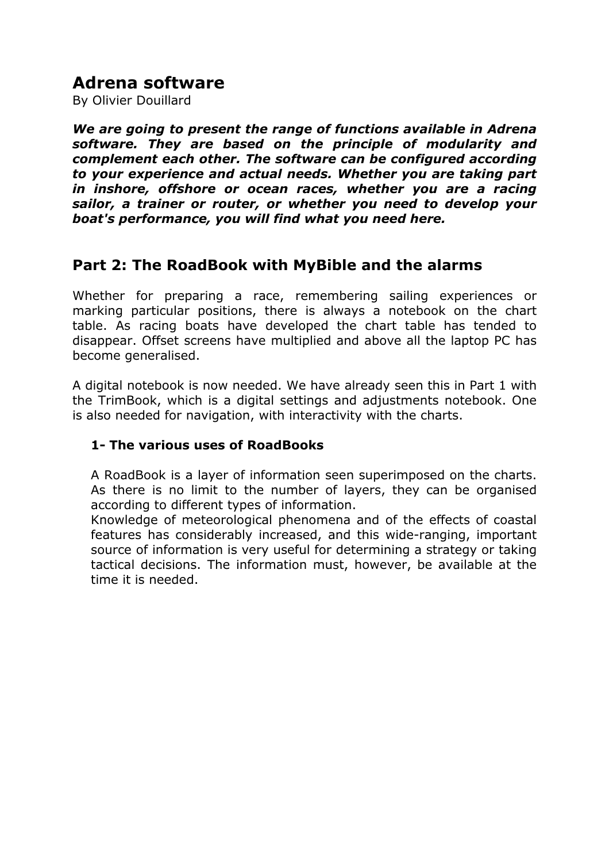# **Adrena software**

By Olivier Douillard

*We are going to present the range of functions available in Adrena software. They are based on the principle of modularity and complement each other. The software can be configured according to your experience and actual needs. Whether you are taking part in inshore, offshore or ocean races, whether you are a racing sailor, a trainer or router, or whether you need to develop your boat's performance, you will find what you need here.* 

## **Part 2: The RoadBook with MyBible and the alarms**

Whether for preparing a race, remembering sailing experiences or marking particular positions, there is always a notebook on the chart table. As racing boats have developed the chart table has tended to disappear. Offset screens have multiplied and above all the laptop PC has become generalised.

A digital notebook is now needed. We have already seen this in Part 1 with the TrimBook, which is a digital settings and adjustments notebook. One is also needed for navigation, with interactivity with the charts.

### **1- The various uses of RoadBooks**

A RoadBook is a layer of information seen superimposed on the charts. As there is no limit to the number of layers, they can be organised according to different types of information.

Knowledge of meteorological phenomena and of the effects of coastal features has considerably increased, and this wide-ranging, important source of information is very useful for determining a strategy or taking tactical decisions. The information must, however, be available at the time it is needed.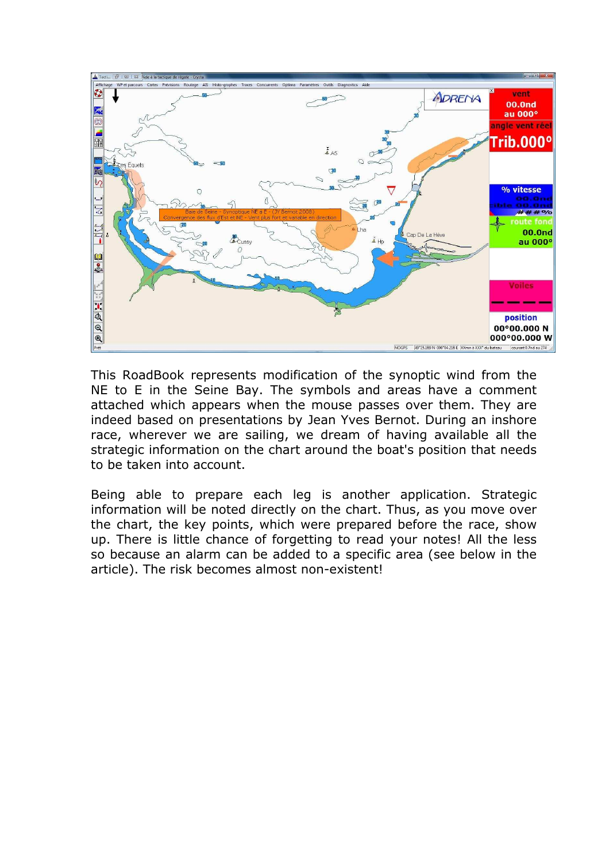

This RoadBook represents modification of the synoptic wind from the NE to E in the Seine Bay. The symbols and areas have a comment attached which appears when the mouse passes over them. They are indeed based on presentations by Jean Yves Bernot. During an inshore race, wherever we are sailing, we dream of having available all the strategic information on the chart around the boat's position that needs to be taken into account.

Being able to prepare each leg is another application. Strategic information will be noted directly on the chart. Thus, as you move over the chart, the key points, which were prepared before the race, show up. There is little chance of forgetting to read your notes! All the less so because an alarm can be added to a specific area (see below in the article). The risk becomes almost non-existent!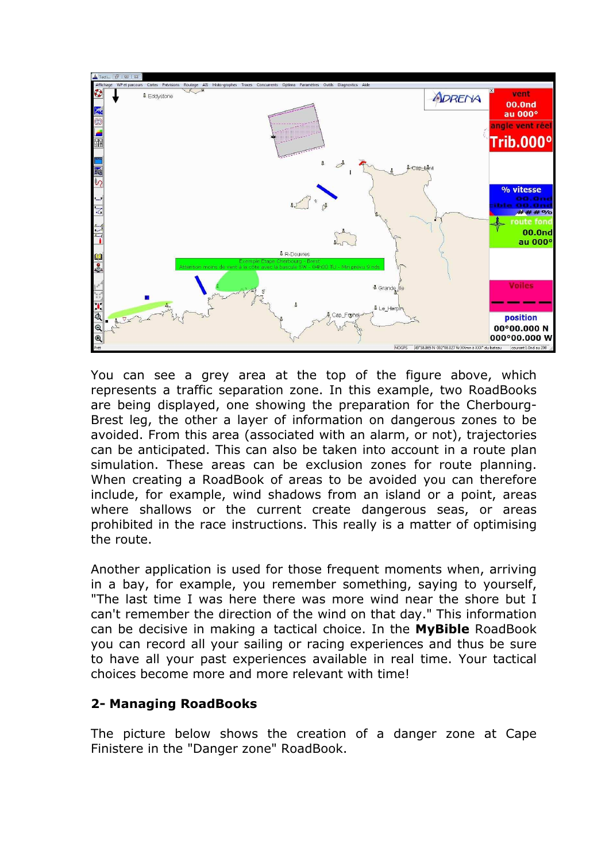

You can see a grey area at the top of the figure above, which represents a traffic separation zone. In this example, two RoadBooks are being displayed, one showing the preparation for the Cherbourg-Brest leg, the other a layer of information on dangerous zones to be avoided. From this area (associated with an alarm, or not), trajectories can be anticipated. This can also be taken into account in a route plan simulation. These areas can be exclusion zones for route planning. When creating a RoadBook of areas to be avoided you can therefore include, for example, wind shadows from an island or a point, areas where shallows or the current create dangerous seas, or areas prohibited in the race instructions. This really is a matter of optimising the route.

Another application is used for those frequent moments when, arriving in a bay, for example, you remember something, saying to yourself, "The last time I was here there was more wind near the shore but I can't remember the direction of the wind on that day." This information can be decisive in making a tactical choice. In the **MyBible** RoadBook you can record all your sailing or racing experiences and thus be sure to have all your past experiences available in real time. Your tactical choices become more and more relevant with time!

#### **2- Managing RoadBooks**

The picture below shows the creation of a danger zone at Cape Finistere in the "Danger zone" RoadBook.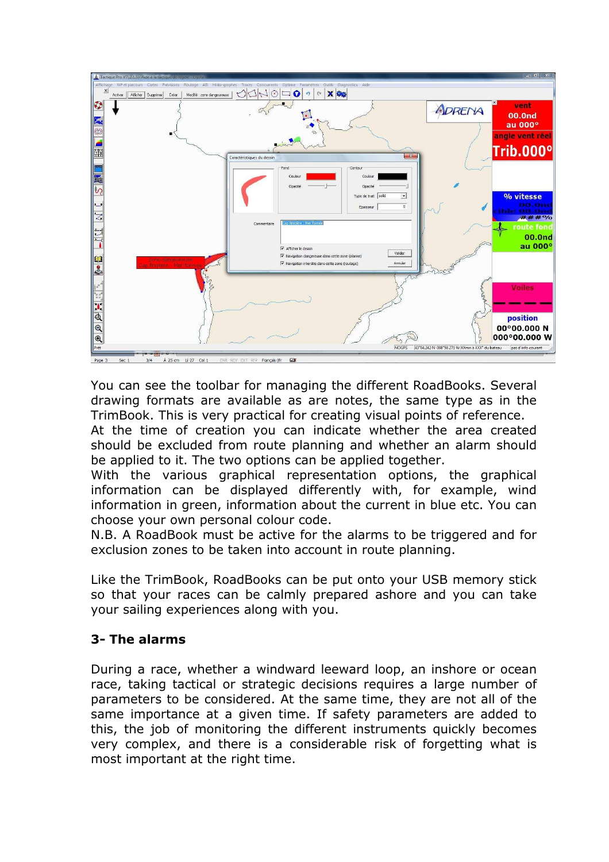

You can see the toolbar for managing the different RoadBooks. Several drawing formats are available as are notes, the same type as in the TrimBook. This is very practical for creating visual points of reference.

At the time of creation you can indicate whether the area created should be excluded from route planning and whether an alarm should be applied to it. The two options can be applied together.

With the various graphical representation options, the graphical information can be displayed differently with, for example, wind information in green, information about the current in blue etc. You can choose your own personal colour code.

N.B. A RoadBook must be active for the alarms to be triggered and for exclusion zones to be taken into account in route planning.

Like the TrimBook, RoadBooks can be put onto your USB memory stick so that your races can be calmly prepared ashore and you can take your sailing experiences along with you.

### **3- The alarms**

During a race, whether a windward leeward loop, an inshore or ocean race, taking tactical or strategic decisions requires a large number of parameters to be considered. At the same time, they are not all of the same importance at a given time. If safety parameters are added to this, the job of monitoring the different instruments quickly becomes very complex, and there is a considerable risk of forgetting what is most important at the right time.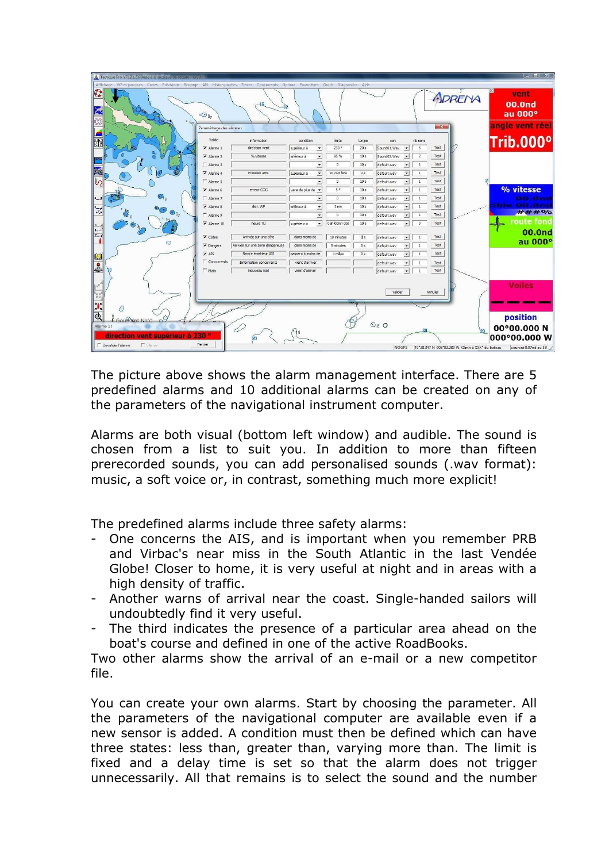| $\begin{array}{c c c c c} \hline \multicolumn{3}{c }{\mathbf{m}} & \multicolumn{3}{c }{\mathbf{m}} & \multicolumn{3}{c }{\mathbf{m}} & \multicolumn{3}{c }{\mathbf{m}} & \multicolumn{3}{c }{\mathbf{m}} & \multicolumn{3}{c }{\mathbf{m}} & \multicolumn{3}{c }{\mathbf{m}} & \multicolumn{3}{c }{\mathbf{m}} & \multicolumn{3}{c }{\mathbf{m}} & \multicolumn{3}{c }{\mathbf{m}} & \multicolumn{3}{c }{\mathbf{m}} & \multicolumn{3}{c }{\mathbf{m$<br>A Tactique Pro V7(.2.1.5)- Aide à la tactique de régate - Crysta |                                             |                                 |                                                  |                 |                 |                                                                |         |        |                 |
|---------------------------------------------------------------------------------------------------------------------------------------------------------------------------------------------------------------------------------------------------------------------------------------------------------------------------------------------------------------------------------------------------------------------------------------------------------------------------------------------------------------------------|---------------------------------------------|---------------------------------|--------------------------------------------------|-----------------|-----------------|----------------------------------------------------------------|---------|--------|-----------------|
| Affichage WP et parcours Cartes Prévisions Routage AIS Histo-graphes Traces Concurrents Optima Paramètres Qutils Diagnostics Aide                                                                                                                                                                                                                                                                                                                                                                                         |                                             |                                 |                                                  |                 |                 |                                                                |         |        |                 |
| 0                                                                                                                                                                                                                                                                                                                                                                                                                                                                                                                         |                                             |                                 |                                                  |                 |                 |                                                                |         | ADRENA | vent            |
| Ę                                                                                                                                                                                                                                                                                                                                                                                                                                                                                                                         |                                             | $-15$                           |                                                  |                 |                 |                                                                |         |        | 00.0nd          |
|                                                                                                                                                                                                                                                                                                                                                                                                                                                                                                                           | $\bigcirc_{8}$                              |                                 |                                                  |                 |                 |                                                                |         |        | au 000°         |
| $\circledcirc$                                                                                                                                                                                                                                                                                                                                                                                                                                                                                                            | Paramétrage des alarmes                     |                                 |                                                  |                 |                 |                                                                | $-x-$   |        | angle vent réel |
|                                                                                                                                                                                                                                                                                                                                                                                                                                                                                                                           | Valide                                      |                                 |                                                  |                 |                 |                                                                |         |        |                 |
| $\frac{1}{2}$                                                                                                                                                                                                                                                                                                                                                                                                                                                                                                             | V Alarme 1                                  | information<br>direction vent   | condition<br>supérieur à<br>$\blacktriangledown$ | limite<br>230 ° | tempo<br>20 s   | nb sons<br>son<br>Sound01.Wav<br>$\overline{\phantom{a}}$<br>5 | Test    |        | Trib.000°       |
|                                                                                                                                                                                                                                                                                                                                                                                                                                                                                                                           | $\overline{\smash{\triangledown}}$ Alarme 2 | % vitesse                       | inférieur à<br>$\bullet$                         | 95%             | 10 <sub>s</sub> | Sound03.Wav<br>$\bullet$<br>$\overline{2}$                     | Test    |        |                 |
|                                                                                                                                                                                                                                                                                                                                                                                                                                                                                                                           | Alarme 3                                    |                                 | $\blacktriangledown$                             | $\overline{0}$  | 10 <sub>s</sub> | default.wav<br>$\vert \cdot \vert$<br>$\mathbf{1}$             | Test    |        |                 |
|                                                                                                                                                                                                                                                                                                                                                                                                                                                                                                                           | $\overline{\mathsf{v}}$ Alarme 4            | Pression atm.                   | supérieur à<br>$\overline{\phantom{a}}$          | 1015.0 hPa      | 2s              | default.wav<br>$\bullet$<br>$\mathbf{1}$                       | Test    |        |                 |
|                                                                                                                                                                                                                                                                                                                                                                                                                                                                                                                           | Alarme 5                                    |                                 | $\overline{\phantom{a}}$                         | $\theta$        | 10 <sub>s</sub> | default.wav<br>$\bullet$<br>1                                  | Test    |        |                 |
|                                                                                                                                                                                                                                                                                                                                                                                                                                                                                                                           | $\overline{\mathsf{v}}$ . Alarme 6          | erreur COG                      | varie de plus de v                               | 5°              | 10 s            | $\bullet$<br>$\mathbf{1}$<br>default.wav                       | Test    |        | % vitesse       |
| O                                                                                                                                                                                                                                                                                                                                                                                                                                                                                                                         | Alarme 7                                    |                                 | $\overline{\phantom{a}}$                         | $\overline{0}$  | 10 <sub>s</sub> | $\mathbf{v}$<br>default.wav<br>$\mathbf{1}$                    | Test    |        | 00.One          |
| $\frac{1}{\sqrt{2}}$                                                                                                                                                                                                                                                                                                                                                                                                                                                                                                      | $\overline{\triangledown}$ Alarme 8         | dist. WP                        | inférieur à<br>$\overline{\phantom{a}}$          | 3 <sub>mn</sub> | 10 <sub>s</sub> | $\bullet$<br>default.wav<br>$\mathbf{1}$                       | Test    |        | ible OG.Gri     |
| ė,<br>$\bigcirc$ <sub>02</sub>                                                                                                                                                                                                                                                                                                                                                                                                                                                                                            | F Alarme 9                                  |                                 | $\overline{\phantom{a}}$                         | $\overline{0}$  | 10 <sub>s</sub> | default.wav<br>$\bullet$<br>$\mathbf{1}$                       | Test    |        | ###%            |
|                                                                                                                                                                                                                                                                                                                                                                                                                                                                                                                           | $\overline{\mathsf{v}}$ Alarme 10           | heure TU                        | supérieur à<br>$\vert \cdot \vert$               | 06h 00mn 00s    | 10 <sub>s</sub> | $\vert \cdot \vert$<br>default.wav<br>$\circ$                  | Test    |        | route fond      |
|                                                                                                                                                                                                                                                                                                                                                                                                                                                                                                                           | $\nabla$ Côtes                              | Arrivée sur une côte            | dans moins de                                    | 10 minutes      | 0 s             | default.wav<br>$\check{}$<br>$\mathbf{1}$                      | Test    |        | <b>00.0nd</b>   |
| $\circ$                                                                                                                                                                                                                                                                                                                                                                                                                                                                                                                   | $\overline{\mathsf{v}}$ Dangers             | Arrivée sur une zone dangereuse | dans moins de                                    | 5 minutes       | 0 <sub>s</sub>  | $\cdot$<br>default.wav<br>ĭ                                    | Test    |        | au 000°         |
|                                                                                                                                                                                                                                                                                                                                                                                                                                                                                                                           | $\overline{\mathbf{v}}$ AIS                 | Navire émetteur AIS             | passera à moins de                               | 1 miles         | 0 <sup>5</sup>  | $\bullet$<br>default.wav<br>$\mathbf{1}$                       | Test    |        |                 |
| <b>M</b>                                                                                                                                                                                                                                                                                                                                                                                                                                                                                                                  | Concurrents                                 | Information concurrents         | vient d'arriver                                  |                 |                 | default.wav<br>$\vert \cdot \vert$<br>$\mathbf{1}$             | Test    |        |                 |
| 8                                                                                                                                                                                                                                                                                                                                                                                                                                                                                                                         | $\Gamma$ Mais                               | Nouveau mail                    | vient d'arriver                                  |                 |                 | default.wav<br>$\textcolor{red}{\textbf{v}}$<br>1              | Test    |        |                 |
|                                                                                                                                                                                                                                                                                                                                                                                                                                                                                                                           |                                             |                                 |                                                  |                 |                 |                                                                |         |        |                 |
|                                                                                                                                                                                                                                                                                                                                                                                                                                                                                                                           |                                             |                                 |                                                  |                 |                 | Valider                                                        | Annuler |        | <b>Voiles</b>   |
|                                                                                                                                                                                                                                                                                                                                                                                                                                                                                                                           |                                             |                                 |                                                  |                 |                 |                                                                |         |        |                 |
| <b>NAK</b>                                                                                                                                                                                                                                                                                                                                                                                                                                                                                                                |                                             |                                 |                                                  |                 |                 |                                                                |         |        |                 |
| $\overline{\mathbf{a}}$<br>Ω<br>Gould Was Nord                                                                                                                                                                                                                                                                                                                                                                                                                                                                            |                                             |                                 |                                                  |                 |                 |                                                                |         |        | position        |
| $Q_8$ $Q$<br>Alarme 1!<br>00°00.000 N<br>$\varnothing$                                                                                                                                                                                                                                                                                                                                                                                                                                                                    |                                             |                                 |                                                  |                 |                 |                                                                |         |        |                 |
| 20<br>direction vent supérieur à 230<br>000°00.000 W                                                                                                                                                                                                                                                                                                                                                                                                                                                                      |                                             |                                 |                                                  |                 |                 |                                                                |         |        |                 |
| $\overline{20}$<br>$\Gamma$ Sience<br>Fermer<br>Devalider l'alarme                                                                                                                                                                                                                                                                                                                                                                                                                                                        |                                             |                                 |                                                  |                 |                 |                                                                |         |        |                 |
| <b>NOGPS</b><br>47°28.347 N 003°02.289 W XXmn à XXX° du bateau<br>courant 0.07nd au 33                                                                                                                                                                                                                                                                                                                                                                                                                                    |                                             |                                 |                                                  |                 |                 |                                                                |         |        |                 |

The picture above shows the alarm management interface. There are 5 predefined alarms and 10 additional alarms can be created on any of the parameters of the navigational instrument computer.

Alarms are both visual (bottom left window) and audible. The sound is chosen from a list to suit you. In addition to more than fifteen prerecorded sounds, you can add personalised sounds (.wav format): music, a soft voice or, in contrast, something much more explicit!

The predefined alarms include three safety alarms:

- One concerns the AIS, and is important when you remember PRB and Virbac's near miss in the South Atlantic in the last Vendée Globe! Closer to home, it is very useful at night and in areas with a high density of traffic.
- Another warns of arrival near the coast. Single-handed sailors will undoubtedly find it very useful.
- The third indicates the presence of a particular area ahead on the boat's course and defined in one of the active RoadBooks.

Two other alarms show the arrival of an e-mail or a new competitor file.

You can create your own alarms. Start by choosing the parameter. All the parameters of the navigational computer are available even if a new sensor is added. A condition must then be defined which can have three states: less than, greater than, varying more than. The limit is fixed and a delay time is set so that the alarm does not trigger unnecessarily. All that remains is to select the sound and the number